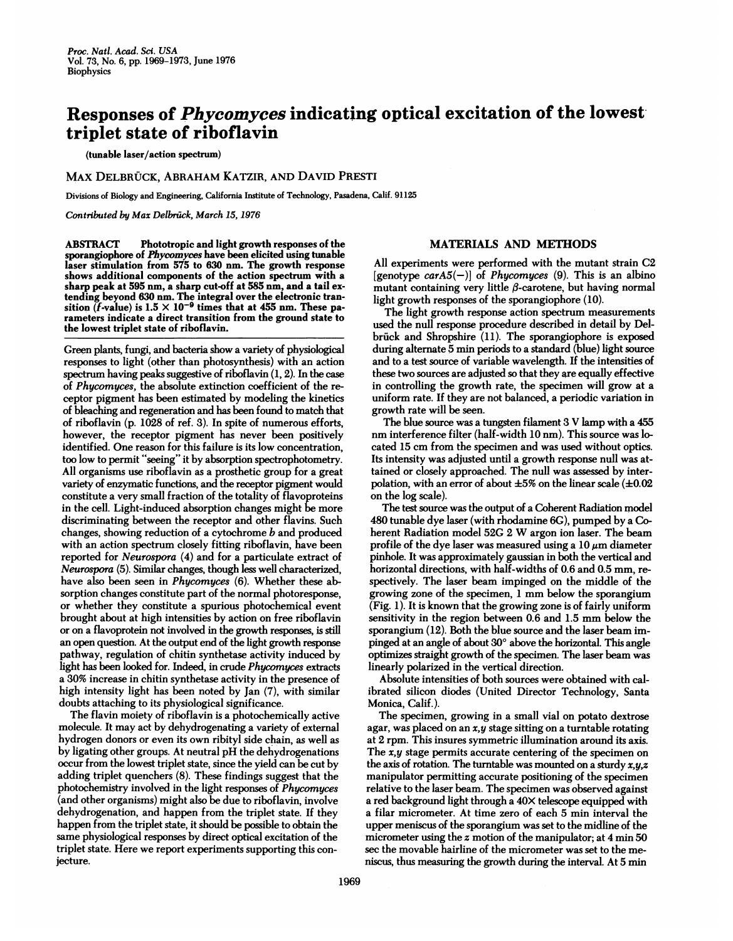## Responses of Phycomyces indicating optical excitation of the lowest triplet state of riboflavin

(tunable laser/action spectrum)

MAX DELBRÜCK, ABRAHAM KATZIR, AND DAVID PRESTI

Divisions of Biology and Engineering, California Institute of Technology, Pasadena, Calif. 91125

Contributed by Max Delbrück, March 15, 1976

ABSTRACT Phototropic and light growth responses of the sporangiophore of Phycomyces have been elicited using tunable laser stimulation from 575 to 630 nm. The growth response shows additional components of the action spectrum with a sharp peak at 595 nm, a sharp cut-off at 585 nm, and a tail extending beyond 630 nm. The integral over the electronic transition (f-value) is 1.5  $\times$  10<sup>-9</sup> times that at 455 nm. These parameters indicate a direct transition from the ground state to the lowest triplet state of riboflavin.

Green plants, fungi, and bacteria show a variety of physiological responses to light (other than photosynthesis) with an action spectrum having peaks suggestive of riboflavin (1, 2). In the case of Phycomyces, the absolute extinction coefficient of the receptor pigment has been estimated by modeling the kinetics of bleaching and regeneration and has been found to match that of riboflavin (p. 1028 of ref. 3). In spite of numerous efforts, however, the receptor pigment has never been positively identified. One reason for this failure is its low concentration, too low to permit "seeing" it by absorption spectrophotometry. All organisms use riboflavin as a prosthetic group for a great variety of enzymatic functions, and the receptor pigment would constitute a very small fraction of the totality of flavoproteins in the cell. Light-induced absorption changes might be more discriminating between the receptor and other flavins. Such changes, showing reduction of a cytochrome b and produced with an action spectrum closely fitting riboflavin, have been reported for Neurospora (4) and for a particulate extract of Neurospora (5). Similar changes, though less well characterized, have also been seen in *Phycomyces* (6). Whether these absorption changes constitute part of the normal photoresponse, or whether they constitute a spurious photochemical event brought about at high intensities by action on free riboflavin or on a flavoprotein not involved in the growth responses, is still an open question. At the output end of the light growth response pathway, regulation of chitin synthetase activity induced by light has been looked for. Indeed, in crude Phycomyces extracts a 30% increase in chitin synthetase activity in the presence of high intensity light has been noted by Jan (7), with similar doubts attaching to its physiological significance.

The flavin moiety of riboflavin is a photochemically active molecule. It may act by dehydrogenating a variety of external hydrogen donors or even its own ribityl side chain, as well as by ligating other groups. At neutral pH the dehydrogenations occur from the lowest triplet state, since the yield can be cut by adding triplet quenchers (8). These findings suggest that the photochemistry involved in the light responses of Phycomyces (and other organisms) might also be due to riboflavin, involve dehydrogenation, and happen from the triplet state. If they happen from the triplet state, it should be possible to obtain the same physiological responses by direct optical excitation of the triplet state. Here we report experiments supporting this conjecture.

## MATERIALS AND METHODS

All experiments were performed with the mutant strain C2 [genotype  $carAS(-)$ ] of *Phycomyces* (9). This is an albino mutant containing very little  $\beta$ -carotene, but having normal light growth responses of the sporangiophore (10).

The light growth response action spectrum measurements used the null response procedure described in detail by Delbrück and Shropshire (11). The sporangiophore is exposed during alternate 5 min periods to a standard (blue) light source and to a test source of variable wavelength. If the intensities of these two sources are adjusted so that they are equally effective in controlling the growth rate, the specimen will grow at a uniform rate. If they are not balanced, a periodic variation in growth rate will be seen.

The blue source was <sup>a</sup> tungsten filament 3 V lamp with <sup>a</sup> 455 nm interference filter (half-width <sup>10</sup> nm). This source was located 15 cm from the specimen and was used without optics. Its intensity was adjusted until a growth response null was attained or closely approached. The null was assessed by interpolation, with an error of about  $\pm 5\%$  on the linear scale ( $\pm 0.02$ on the log scale).

The test source was the output of a Coherent Radiation model 480 tunable dye laser (with rhodamine 6G), pumped by a Coherent Radiation model 52G <sup>2</sup> W argon ion laser. The beam profile of the dye laser was measured using a  $10 \mu m$  diameter pinhole. It was approximately gaussian in both the vertical and horizontal directions, with half-widths of 0.6 and 0.5 mm, respectively. The laser beam impinged on the middle of the growing zone of the specimen, <sup>1</sup> mm below the sporangium  $(Fig. 1)$ . It is known that the growing zone is of fairly uniform sensitivity in the region between 0.6 and 1.5 mm below the sporangium (12). Both the blue source and the laser beam impinged at an angle of about  $30^{\circ}$  above the horizontal. This angle optimizes straight growth of the specimen. The laser beam was linearly polarized in the vertical direction.

Absolute intensities of both sources were obtained with calibrated silicon diodes (United Director Technology, Santa Monica, Calif.).

The specimen, growing in a small vial on potato dextrose agar, was placed on an  $x,y$  stage sitting on a turntable rotating at 2 rpm. This insures symmetric illumination around its axis. The  $x, y$  stage permits accurate centering of the specimen on the axis of rotation. The turntable was mounted on a sturdy  $x,y,z$ manipulator permitting accurate positioning of the specimen relative to the laser beam. The specimen was observed against a red background light through a 40X telescope equipped with a filar micrometer. At time zero of each 5 min interval the upper meniscus of the sporangium was set to the midline of the micrometer using the z motion of the manipulator; at 4 min 50 sec the movable hairline of the micrometer was set to the meniscus, thus measuring the growth during the interval. At 5 min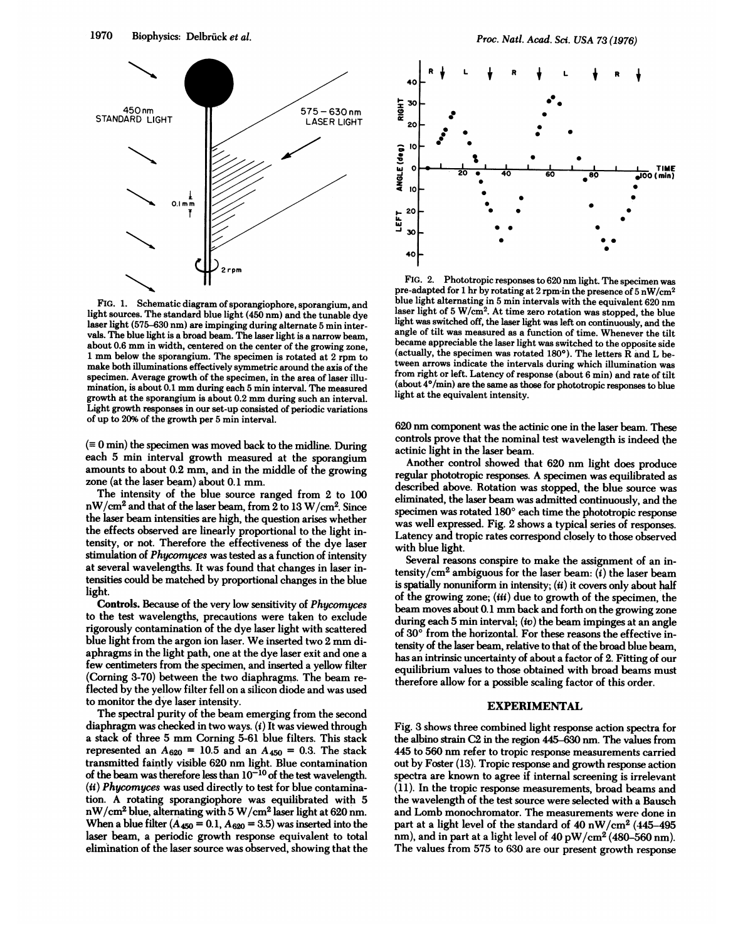

FIG. 1. Schematic diagram of sporangiophore, sporangium, and light sources. The standard blue light (450 nm) and the tunable dye laser light (575-630 nm) are impinging during alternate 5 min intervals. The blue light is a broad beam. The laser light is a narrow beam, about 0.6 mm in width, centered on the center of the growing zone, <sup>1</sup> mm below the sporangium. The specimen is rotated at <sup>2</sup> rpm to make both illuminations effectively symmetric around the axis of the specimen. Average growth of the specimen, in the area of laser illumination, is about 0.1 mm during each <sup>5</sup> min interval. The measured growth at the sporangium is about 0.2 mm during such an interval. Light growth responses in our set-up consisted of periodic variations of up to 20% of the growth per 5 min interval.

 $(= 0 \text{ min})$  the specimen was moved back to the midline. During each 5 min interval growth measured at the sporangium amounts to about 0.2 mm, and in the middle of the growing zone (at the laser beam) about 0.1 mm.

The intensity of the blue source ranged from 2 to 100 nW/cm2 and that of the laser beam, from 2 to 13 W/cm2. Since the laser beam intensities are high, the question arises whether the effects observed are linearly proportional to the light intensity, or not. Therefore the effectiveness of the dye laser stimulation of Phycomyces was tested as a function of intensity at several wavelengths. It was found that changes in laser intensities could be matched by proportional changes in the blue light.

Controls. Because of the very low sensitivity of Phycomyces to the test wavelengths, precautions were taken to exclude rigorously contamination of the dye laser light with scattered blue light from the argon ion laser. We inserted two <sup>2</sup> mm diaphragms in the light path, one at the dye laser exit and one a few centimeters from the specimen, and inserted a yellow filter (Corning 3-70) between the two diaphragms. The beam reflected by the yellow filter fell on a silicon diode and was used to monitor the dye laser intensity.

The spectral purity of the beam emerging from the second diaphragm was checked in two ways. (i) It was viewed through <sup>a</sup> stack of three <sup>5</sup> mm Corning 5-61 blue filters. This stack represented an  $A_{620} = 10.5$  and an  $A_{450} = 0.3$ . The stack transmitted faintly visible 620 nm light. Blue contamination of the beam was therefore less than  $10^{-10}$  of the test wavelength. (ii) Phycomyces was used directly to test for blue contamination. A rotating sporangiophore was equilibrated with 5  $nW/cm<sup>2</sup>$  blue, alternating with 5 W/cm<sup>2</sup> laser light at 620 nm. When a blue filter  $(A_{450} = 0.1, A_{620} = 3.5)$  was inserted into the laser beam, a periodic growth response equivalent to total elimination of the laser source was observed, showing that the



FIG. 2. Phototropic responses to 620 nm light. The specimen was pre-adapted for 1 hr by rotating at 2 rpm-in the presence of 5 nW/cm<sup>2</sup> blue light alternating in <sup>5</sup> min intervals with the equivalent 620 nm laser light of 5 W/cm2. At time zero rotation was stopped, the blue light was switched off, the laser light was left on continuously, and the angle of tilt was measured as a function of time. Whenever the tilt became appreciable the laser light was switched to the opposite side (actually, the specimen was rotated 180°). The letters R and L between arrows indicate the intervals during which illumination was from right or left. Latency of response (about 6 min) and rate of tilt (about 4°/min) are the same as those for phototropic responses to blue light at the equivalent intensity.

620 nm component was the actinic one in the laser beam. These controls prove that the nominal test wavelength is indeed the actinic light in the laser beam.

Another control showed that 620 nm light does produce regular phototropic responses. A specimen was equilibrated as described above. Rotation was stopped, the blue source was eliminated, the laser beam was admitted continuously, and the specimen was rotated 180° each time the phototropic response was well expressed. Fig. 2 shows a typical series of responses. Latency and tropic rates correspond closely to those observed with blue light.

Several reasons conspire to make the assignment of an intensity/cm<sup>2</sup> ambiguous for the laser beam: (i) the laser beam is spatially nonuniform in intensity;  $(ii)$  it covers only about half of the growing zone; (iii) due to growth of the specimen, the beam moves about 0.1 mmback and forth on the growing zone during each 5 min interval;  $(iv)$  the beam impinges at an angle of 30° from the horizontal. For these reasons the effective intensity of the laser beam, relative to that of the broad blue beam, has an intrinsic uncertainty of about a factor of 2. Fitting of our equilibrium values to those obtained with broad beams must therefore allow for a possible scaling factor of this order.

## EXPERIMENTAL

Fig. 3 shows three combined light response action spectra for the albino strain C2 in the region 445-630 nm. The values from 445 to 560 nm refer to tropic response measurements carried out by Foster (13). Tropic response and growth response action spectra are known to agree if internal screening is irrelevant  $(11)$ . In the tropic response measurements, broad beams and the wavelength of the test source were selected with a Bausch and Lomb monochromator. The measurements were done in part at a light level of the standard of 40 nW/cm2 (445-495 nm), and in part at a light level of  $40 \,\mathrm{pW/cm^2}$  (480–560 nm). The values from 575 to 630 are our present growth response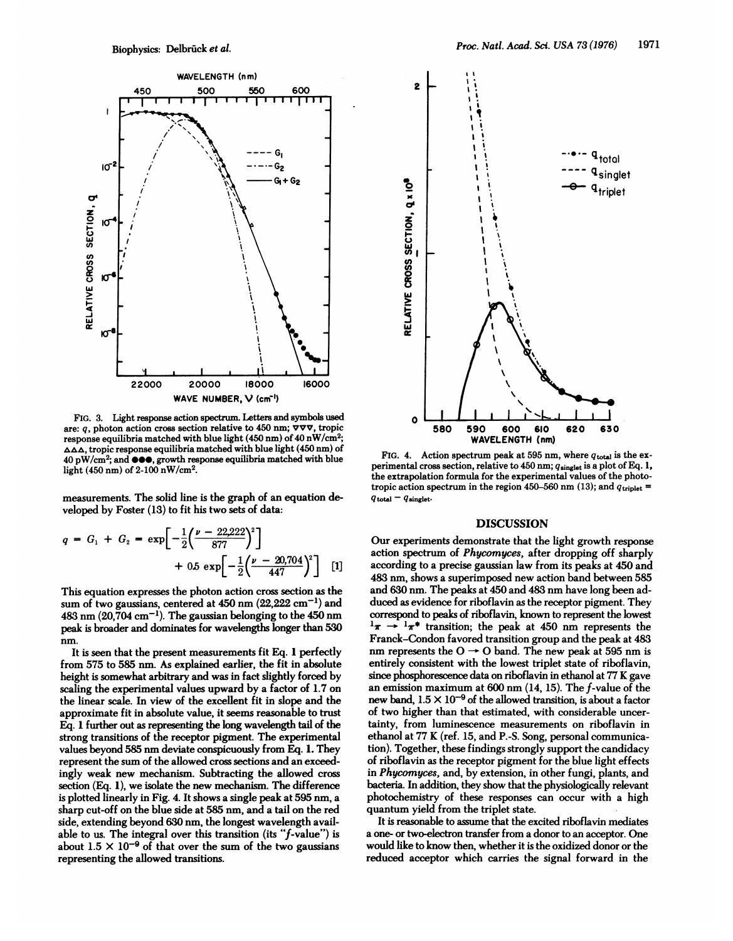

FIG. 3. Light response action spectrum. Letters and symbols used are:  $q$ , photon action cross section relative to 450 nm;  $\nabla \nabla \nabla$ , tropic response equilibria matched with blue light (450 nm) of 40 nW/cm2; AAA, tropic response equilibria matched with blue light (450 nm) of 40 pW/cm<sup>2</sup>; and  $\bullet\bullet\bullet$ , growth response equilibria matched with blue light (450 nm) of 2-100 nW/cm2.

measurements. The solid line is the graph of an equation developed by Foster (13) to fit his two sets of data:

$$
q = G_1 + G_2 = \exp\left[-\frac{1}{2}\left(\frac{\nu - 22222}{877}\right)^2\right] + 0.5 \exp\left[-\frac{1}{2}\left(\frac{\nu - 20704}{447}\right)^2\right] \quad [1]
$$

This equation expresses the photon action cross section as the sum of two gaussians, centered at  $450$  nm  $(22,222 \text{ cm}^{-1})$  and  $483$  nm  $(20, 704$  cm<sup>-1</sup>). The gaussian belonging to the  $450$  nm peak is broader and dominates for wavelengths longer than 530 nm.

It is seen that the present measurements fit Eq. 1 perfectly from 575 to 585 nm. As explained earlier, the fit in absolute height is somewhat arbitrary and was in fact slightly forced by scaling the experimental values upward by a factor of 1.7 on the linear scale. In view of the excellent fit in slope and the approximate fit in absolute value, it seems reasonable to trust Eq. 1 further out as representing the long wavelength tail of the strong transitions of the receptor pigment. The experimental values beyond 585 nm deviate conspicuously from Eq. 1. They represent the sum of the allowed cross sections and an exceedingly weak new mechanism. Subtracting the allowed cross section (Eq. 1), we isolate the new mechanism. The difference is plotted linearly in Fig. 4. It shows a single peak at 595 nm, a sharp cut-off on the blue side at 585 nm, and a tail on the red side, extending beyond 630 am, the longest wavelength available to us. The integral over this transition (its "f-value") is about  $1.5 \times 10^{-9}$  of that over the sum of the two gaussians representing the allowed transitions.



FIG. 4. Action spectrum peak at 595 nm, where  $q_{total}$  is the experimental cross section, relative to  $450$  nm;  $q_{singlet}$  is a plot of Eq. 1, the extrapolation formula for the experimental values of the phototropic action spectrum in the region 450–560 nm (13); and  $q_{\text{triplet}} =$  $q_{\text{total}} - q_{\text{singlet}}$ 

## DISCUSSION

Our experiments demonstrate that the light growth response action spectrum of Phycomyces, after dropping off sharply according to a precise gaussian law from its peaks at 450 and 483 nm, shows a superimposed new action band between 585 and 630 nm. The peaks at 450 and 483 nm have long been adduced as evidence for riboflavin as the receptor pigment. They correspond to peaks of riboflavin, known to represent the lowest  $\frac{1}{\pi}$   $\rightarrow$   $\frac{1}{\pi^*}$  transition; the peak at 450 nm represents the Franck-Condon favored transition group and the peak at 483 nm represents the  $O \rightarrow O$  band. The new peak at 595 nm is entirely consistent with the lowest triplet state of riboflavin, since phosphorescence data on riboflavin in ethanol at 77 K gave an emission maximum at 600 nm (14, 15). The  $f$ -value of the new band,  $1.5 \times 10^{-9}$  of the allowed transition, is about a factor of two higher than that estimated, with considerable uncertainty, from luminescence measurements on riboflavin in ethanol at 77 K (ref. 15, and P.-S. Song, personal communication). Together, these findings strongly support the candidacy of riboflavin as the receptor pigment for the blue light effects in Phycomyces, and, by extension, in other fungi, plants, and bacteria. In addition, they show that the physiologically relevant photochemistry of these responses can occur with a high quantum yield from the triplet state.

It is reasonable to assume that the excited riboflavin mediates a one- or two-electron transfer from a donor to an acceptor. One would like to know then, whether it is the oxidized donor or the reduced acceptor which carries the signal forward in the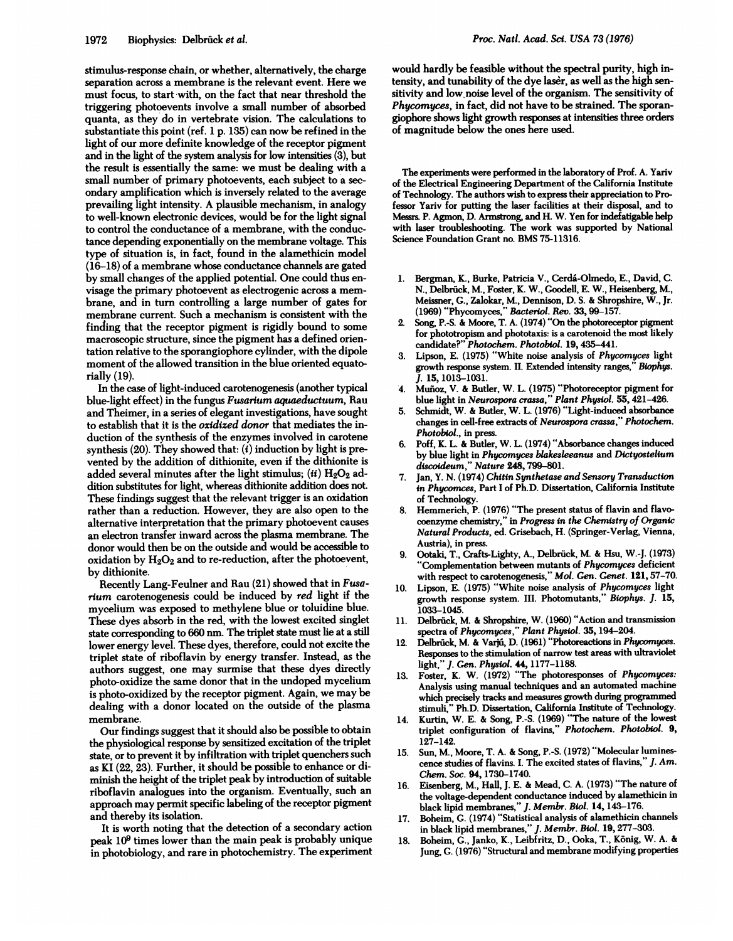stimulus-response chain, or whether, alternatively, the charge separation across a membrane is the relevant event. Here we must focus, to start with, on the fact that near threshold the triggering photoevents involve a small number of absorbed quanta, as they do in vertebrate vision. The calculations to substantiate this point (ref. <sup>1</sup> p. 135) can now be refined in the light of our more definite knowledge of the receptor pigment and in the light of the system analysis for low intensities (3), but the result is essentially the same: we must be dealing with a small number of primary photoevents, each subject to a secondary amplification which is inversely related to the average prevailing light intensity. A plausible mechanism, in analogy to well-known electronic devices, would be for the light signal to control the conductance of a membrane, with the conductance depending exponentially on the membrane voltage. This type of situation is, in fact, found in the alamethicin model (16-18) of a membrane whose conductance channels are gated by small changes of the applied potential. One could thus envisage the primary photoevent as electrogenic across <sup>a</sup> membrane, and in turn controlling a large number of gates for membrane current. Such a mechanism is consistent with the finding that the receptor pigment is rigidly bound to some macroscopic structure, since the pigment has a defined orientation relative to the sporangiophore cylinder, with the dipole moment of the allowed transition in the blue oriented equatorially  $(19)$ 

In the case of light-induced carotenogenesis (another typical blue-light effect) in the fungus Fusarium aquaeductuum, Rau and Theimer, in a series of elegant investigations, have sought to establish that it is the oxidized donor that mediates the induction of the synthesis of the enzymes involved in carotene synthesis  $(20)$ . They showed that:  $(i)$  induction by light is prevented by the addition of dithionite, even if the dithionite is added several minutes after the light stimulus; (ii)  $H_2O_2$  addition substitutes for light, whereas dithionite addition does not. These findings suggest that the relevant trigger is an oxidation rather than a reduction. However, they are also open to the alternative interpretation that the primary photoevent causes an electron transfer inward across the plasma membrane. The donor would then be on the outside and would be accessible to oxidation by  $H_2O_2$  and to re-reduction, after the photoevent, by dithionite.

Recently Lang-Feulner and Rau (21) showed that in Fusarium carotenogenesis could be induced by red light if the mycelium was exposed to methylene blue or toluidine blue. These dyes absorb in the red, with the lowest excited singlet state corresponding to 660 nm. The triplet state must lie at a still lower energy level. These dyes, therefore, could not excite the triplet state of riboflavin by energy transfer. Instead, as the authors suggest, one may surmise that these dyes directly photo-oxidize the same donor that in the undoped mycelium is photo-oxidized by the receptor pigment. Again, we may be dealing with a donor located on the outside of the plasma membrane.

Our findings suggest that it should also be possible to obtain the physiological response by sensitized excitation of the triplet state, or to prevent it by infiltration with triplet quenchers such as KI (22, 23). Further, it should be possible to enhance or diminish the height of the triplet peak by introduction of suitable riboflavin analogues into the organism. Eventually, such an approach may permit specific labeling of the receptor pigment and thereby its isolation.

It is worth noting that the detection of a secondary action peak 109 times lower than the main peak is probably unique in photobiology, and rare in photochemistry. The experiment would hardly be feasible without the spectral purity, high intensity, and tunability of the dye laser, as well as the high sensitivity and low noise level of the organism. The sensitivity of Phycomyces, in fact, did not have to be strained. The sporangiophore shows light growth responses at intensities three orders of magnitude below the ones here used.

The experiments were performed in the laboratory of Prof. A. Yariv of the Electrical Engineering Department of the California Institute of Technology. The authors wish to express their appreciation to Professor Yariv for putting the laser facilities at their disposal, and to Messrs P. Agmon, D. Armstrong, and H. W. Yen for indefatigable help with laser troubleshooting. The work was supported by National Science Foundation Grant no. BMS 75-11316.

- 1. Bergman, K., Burke, Patricia V., Cerda-Olmedo, E., David, C. N., Delbrück, M., Foster, K. W., Goodell, E. W., Heisenberg, M., Meissner, G., Zalokar, M., Dennison, D. S. & Shropshire, W., Jr. (1969) "Phycomyces," Bacteriol. Rev. 33,99-157.
- 2. Song, P.-S. & Moore, T. A. (1974) "On the photoreceptor pigment for phototropism and phototaxis: is a carotenoid the most likely candidate?" Photochem. Photobiol. 19,435-441.
- 3. Lipson, E. (1975) "White noise analysis of Phycomyces light growth response system. II. Extended intensity ranges," Biophys. J. 15, 1013-1031.
- 4. Mufioz, V. & Butler, W. L. (1975) "Photoreceptor pigment for blue light in Neurospora crassa," Plant Physiol. 55, 421-426.
- 5. Schmidt, W. & Butler, W. L. (1976) "Light-induced absorbance changes in cell-free extracts of Neurospora crassa," Photochem. Photobiol., in press.
- 6. Poff, K. L. & Butler, W. L. (1974) "Absorbance changes induced by blue light in Phycomyces blakesleeanus and Dictyostelium discoideum," Nature 248,799-801.
- 7. Jan, Y. N. (1974) Chitin Synthetase and Sensory Transduction in Phycomces, Part <sup>I</sup> of Ph.D. Dissertation, California Institute of Technology.
- Hemmerich, P. (1976) "The present status of flavin and flavocoenzyme chemistry," in Progress in the Chemistry of Organic Natural Products, ed. Grisebach, H. (Springer-Verlag, Vienna, Austria), in press.
- 9. Ootaki, T., Crafts-Lighty, A., Delbruck, M. & Hsu, W.-J. (1973) "Complementation between mutants of Phycomyces deficient with respect to carotenogenesis," Mol. Gen. Genet. 121, 57-70.
- 10. Lipson, E. (1975) "White noise analysis of Phycomyces light growth response system. III. Photomutants," Biophys. J. 15, 1033-1045.
- 11. Delbrick, M. & Shropshire, W. (1960) "Action and transmission spectra of Phycomyces," Plant Physiol. 35, 194-204.
- 12. Delbrück, M. & Varjú, D. (1961) "Photoreactions in Phycomyces. Responses to the stimulation of narrow test areas with ultraviolet light," J. Gen. Physiol. 44, 1177-1188.
- 13. Foster, K. W. (1972) "The photoresponses of Phycomyces: Analysis using manual techniques and an automated machine which precisely tracks and measures growth during programmed stimuli," Ph.D. Dissertation, California Institute of Technology.
- 14. Kurtin, W. E. & Song, P.-S. (1969) "The nature of the lowest triplet configuration of flavins," Photochem. Photobiol. 9, 127-142.
- 15. Sun, M., Moore, T. A. & Song, P.-S. (1972) "Molecular luminescence studies of flavins. I. The excited states of flavins," J. Am. Chem. Soc. 94,1730-1740.
- 16. Eisenberg, M., Hall, J. E. & Mead, C. A. (1973) "The nature of the voltage-dependent conductance induced by alamethicin in black lipid membranes," J. Membr. Biol. 14, 143-176.
- 17. Boheim, G. (1974) "Statistical analysis of alamethicin channels in black lipid membranes," J. Membr. Biol. 19,277-303.
- 18. Boheim, C., Janko, K., Leibfritz, D., Qoka, T., K6nig, W. A. & Jung, G. (1976) "Structural and membrane modifying properties